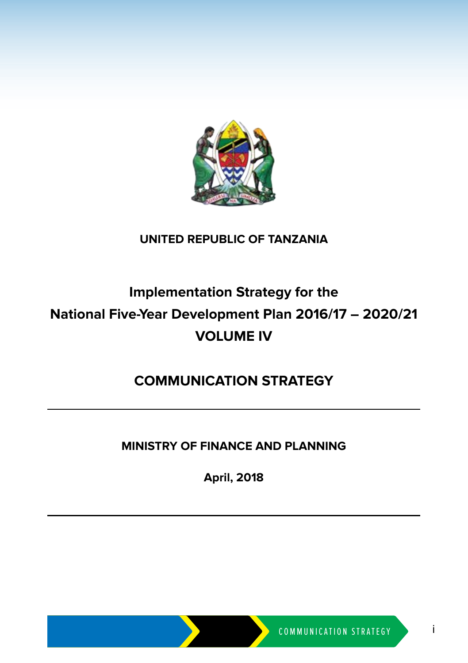

#### **UNITED REPUBLIC OF TANZANIA**

# **Implementation Strategy for the National Five-Year Development Plan 2016/17 – 2020/21 VOLUME IV**

### **COMMUNICATION STRATEGY**

#### **MINISTRY OF FINANCE AND PLANNING**

**April, 2018**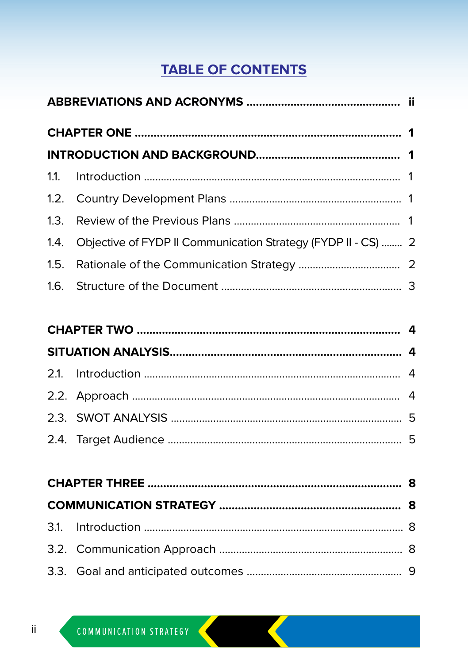## **TABLE OF CONTENTS**

| 1.4. Objective of FYDP II Communication Strategy (FYDP II - CS)  2 |  |
|--------------------------------------------------------------------|--|
|                                                                    |  |
|                                                                    |  |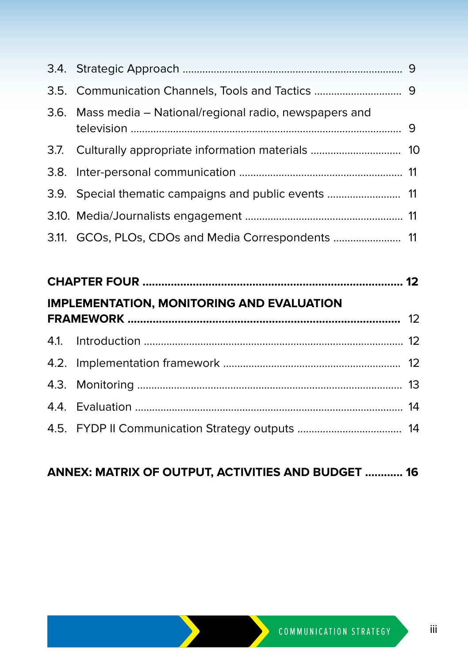| 3.5. Communication Channels, Tools and Tactics  9         |  |
|-----------------------------------------------------------|--|
| 3.6. Mass media – National/regional radio, newspapers and |  |
|                                                           |  |
|                                                           |  |
| 3.9. Special thematic campaigns and public events  11     |  |
|                                                           |  |
| 3.11. GCOs, PLOs, CDOs and Media Correspondents  11       |  |

| <b>IMPLEMENTATION, MONITORING AND EVALUATION</b> |  |
|--------------------------------------------------|--|
|                                                  |  |
|                                                  |  |
|                                                  |  |
|                                                  |  |
|                                                  |  |
|                                                  |  |
|                                                  |  |

| <b>ANNEX: MATRIX OF OUTPUT, ACTIVITIES AND BUDGET  16</b> |  |  |  |  |  |
|-----------------------------------------------------------|--|--|--|--|--|
|-----------------------------------------------------------|--|--|--|--|--|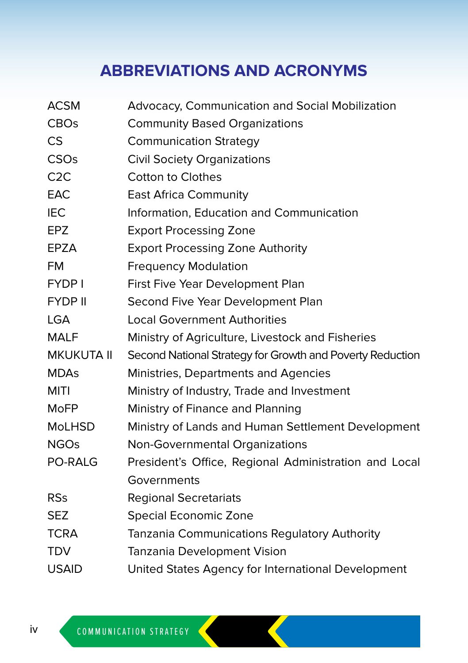# **ABBREVIATIONS AND ACRONYMS**

| <b>ACSM</b>       | Advocacy, Communication and Social Mobilization           |
|-------------------|-----------------------------------------------------------|
| <b>CBOs</b>       | <b>Community Based Organizations</b>                      |
| <b>CS</b>         | <b>Communication Strategy</b>                             |
| CSOs              | <b>Civil Society Organizations</b>                        |
| C2C               | <b>Cotton to Clothes</b>                                  |
| EAC               | <b>East Africa Community</b>                              |
| <b>IEC</b>        | Information, Education and Communication                  |
| <b>EPZ</b>        | <b>Export Processing Zone</b>                             |
| EPZA              | <b>Export Processing Zone Authority</b>                   |
| <b>FM</b>         | <b>Frequency Modulation</b>                               |
| <b>FYDP1</b>      | First Five Year Development Plan                          |
| <b>FYDP II</b>    | Second Five Year Development Plan                         |
| <b>LGA</b>        | <b>Local Government Authorities</b>                       |
| <b>MALF</b>       | Ministry of Agriculture, Livestock and Fisheries          |
| <b>MKUKUTA II</b> | Second National Strategy for Growth and Poverty Reduction |
| <b>MDAs</b>       | Ministries, Departments and Agencies                      |
| <b>MITI</b>       | Ministry of Industry, Trade and Investment                |
| <b>MoFP</b>       | Ministry of Finance and Planning                          |
| <b>MoLHSD</b>     | Ministry of Lands and Human Settlement Development        |
| <b>NGOs</b>       | Non-Governmental Organizations                            |
| PO-RALG           | President's Office, Regional Administration and Local     |
|                   | Governments                                               |
| <b>RSs</b>        | <b>Regional Secretariats</b>                              |
| <b>SEZ</b>        | Special Economic Zone                                     |
| <b>TCRA</b>       | Tanzania Communications Regulatory Authority              |
| <b>TDV</b>        | Tanzania Development Vision                               |
| <b>USAID</b>      | United States Agency for International Development        |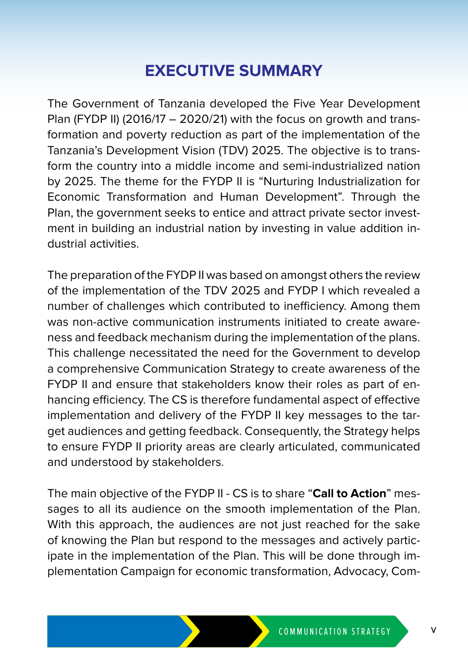# **EXECUTIVE SUMMARY**

The Government of Tanzania developed the Five Year Development Plan (FYDP II) (2016/17 – 2020/21) with the focus on growth and transformation and poverty reduction as part of the implementation of the Tanzania's Development Vision (TDV) 2025. The objective is to transform the country into a middle income and semi-industrialized nation by 2025. The theme for the FYDP II is "Nurturing Industrialization for Economic Transformation and Human Development". Through the Plan, the government seeks to entice and attract private sector investment in building an industrial nation by investing in value addition industrial activities.

The preparation of the FYDP II was based on amongst others the review of the implementation of the TDV 2025 and FYDP I which revealed a number of challenges which contributed to inefficiency. Among them was non-active communication instruments initiated to create awareness and feedback mechanism during the implementation of the plans. This challenge necessitated the need for the Government to develop a comprehensive Communication Strategy to create awareness of the FYDP II and ensure that stakeholders know their roles as part of enhancing efficiency. The CS is therefore fundamental aspect of effective implementation and delivery of the FYDP II key messages to the target audiences and getting feedback. Consequently, the Strategy helps to ensure FYDP II priority areas are clearly articulated, communicated and understood by stakeholders.

The main objective of the FYDP II - CS is to share "**Call to Action**" messages to all its audience on the smooth implementation of the Plan. With this approach, the audiences are not just reached for the sake of knowing the Plan but respond to the messages and actively participate in the implementation of the Plan. This will be done through implementation Campaign for economic transformation, Advocacy, Com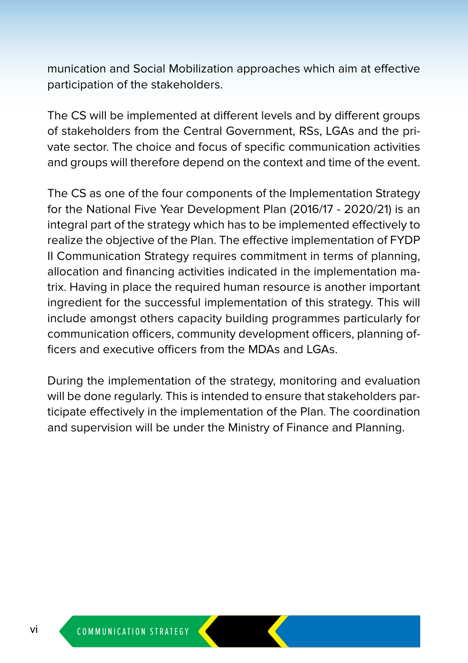munication and Social Mobilization approaches which aim at effective participation of the stakeholders.

The CS will be implemented at different levels and by different groups of stakeholders from the Central Government, RSs, LGAs and the private sector. The choice and focus of specific communication activities and groups will therefore depend on the context and time of the event.

The CS as one of the four components of the Implementation Strategy for the National Five Year Development Plan (2016/17 - 2020/21) is an integral part of the strategy which has to be implemented effectively to realize the objective of the Plan. The effective implementation of FYDP II Communication Strategy requires commitment in terms of planning, allocation and financing activities indicated in the implementation matrix. Having in place the required human resource is another important ingredient for the successful implementation of this strategy. This will include amongst others capacity building programmes particularly for communication officers, community development officers, planning officers and executive officers from the MDAs and LGAs.

During the implementation of the strategy, monitoring and evaluation will be done regularly. This is intended to ensure that stakeholders participate effectively in the implementation of the Plan. The coordination and supervision will be under the Ministry of Finance and Planning.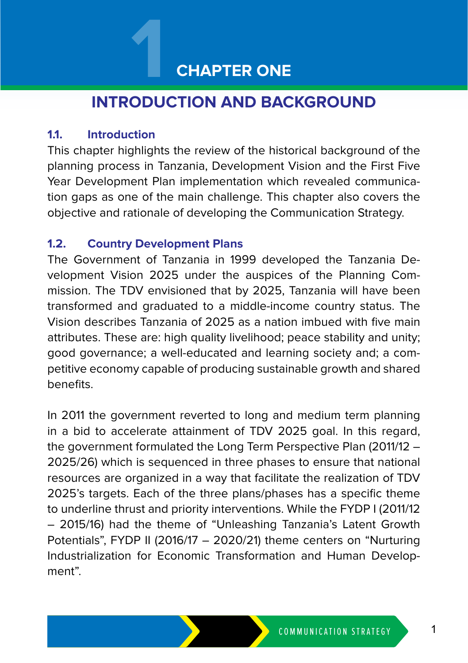# **CHAPTER ONE**

# **INTRODUCTION AND BACKGROUND 1**

#### **1.1. Introduction**

This chapter highlights the review of the historical background of the planning process in Tanzania, Development Vision and the First Five Year Development Plan implementation which revealed communication gaps as one of the main challenge. This chapter also covers the objective and rationale of developing the Communication Strategy.

#### **1.2. Country Development Plans**

The Government of Tanzania in 1999 developed the Tanzania Development Vision 2025 under the auspices of the Planning Commission. The TDV envisioned that by 2025, Tanzania will have been transformed and graduated to a middle-income country status. The Vision describes Tanzania of 2025 as a nation imbued with five main attributes. These are: high quality livelihood; peace stability and unity; good governance; a well-educated and learning society and; a competitive economy capable of producing sustainable growth and shared benefits.

In 2011 the government reverted to long and medium term planning in a bid to accelerate attainment of TDV 2025 goal. In this regard, the government formulated the Long Term Perspective Plan (2011/12 – 2025/26) which is sequenced in three phases to ensure that national resources are organized in a way that facilitate the realization of TDV 2025's targets. Each of the three plans/phases has a specific theme to underline thrust and priority interventions. While the FYDP I (2011/12 – 2015/16) had the theme of "Unleashing Tanzania's Latent Growth Potentials", FYDP II (2016/17 – 2020/21) theme centers on "Nurturing Industrialization for Economic Transformation and Human Development".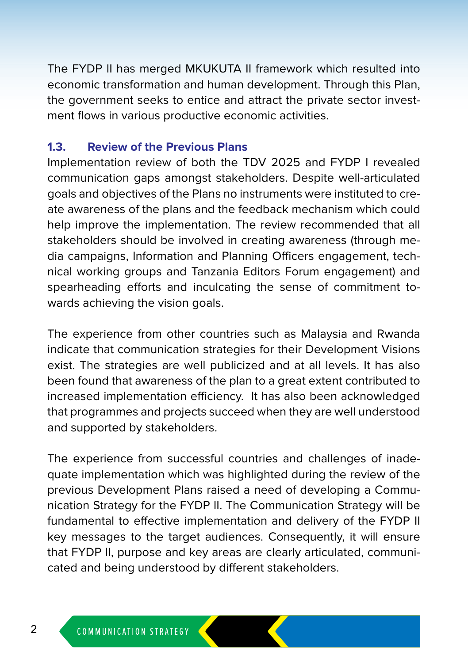The FYDP II has merged MKUKUTA II framework which resulted into economic transformation and human development. Through this Plan, the government seeks to entice and attract the private sector investment flows in various productive economic activities.

#### **1.3. Review of the Previous Plans**

Implementation review of both the TDV 2025 and FYDP I revealed communication gaps amongst stakeholders. Despite well-articulated goals and objectives of the Plans no instruments were instituted to create awareness of the plans and the feedback mechanism which could help improve the implementation. The review recommended that all stakeholders should be involved in creating awareness (through media campaigns, Information and Planning Officers engagement, technical working groups and Tanzania Editors Forum engagement) and spearheading efforts and inculcating the sense of commitment towards achieving the vision goals.

The experience from other countries such as Malaysia and Rwanda indicate that communication strategies for their Development Visions exist. The strategies are well publicized and at all levels. It has also been found that awareness of the plan to a great extent contributed to increased implementation efficiency. It has also been acknowledged that programmes and projects succeed when they are well understood and supported by stakeholders.

The experience from successful countries and challenges of inadequate implementation which was highlighted during the review of the previous Development Plans raised a need of developing a Communication Strategy for the FYDP II. The Communication Strategy will be fundamental to effective implementation and delivery of the FYDP II key messages to the target audiences. Consequently, it will ensure that FYDP II, purpose and key areas are clearly articulated, communicated and being understood by different stakeholders.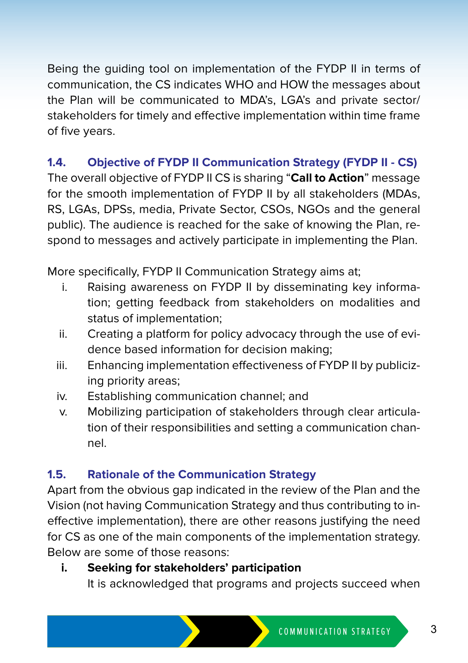Being the guiding tool on implementation of the FYDP II in terms of communication, the CS indicates WHO and HOW the messages about the Plan will be communicated to MDA's, LGA's and private sector/ stakeholders for timely and effective implementation within time frame of five years.

#### **1.4. Objective of FYDP II Communication Strategy (FYDP II - CS)**

The overall objective of FYDP II CS is sharing "**Call to Action**" message for the smooth implementation of FYDP II by all stakeholders (MDAs, RS, LGAs, DPSs, media, Private Sector, CSOs, NGOs and the general public). The audience is reached for the sake of knowing the Plan, respond to messages and actively participate in implementing the Plan.

More specifically, FYDP II Communication Strategy aims at;

- i. Raising awareness on FYDP II by disseminating key information; getting feedback from stakeholders on modalities and status of implementation;
- ii. Creating a platform for policy advocacy through the use of evidence based information for decision making;
- iii. Enhancing implementation effectiveness of FYDP II by publicizing priority areas;
- iv. Establishing communication channel; and
- v. Mobilizing participation of stakeholders through clear articulation of their responsibilities and setting a communication channel.

#### **1.5. Rationale of the Communication Strategy**

Apart from the obvious gap indicated in the review of the Plan and the Vision (not having Communication Strategy and thus contributing to ineffective implementation), there are other reasons justifying the need for CS as one of the main components of the implementation strategy. Below are some of those reasons:

#### **i. Seeking for stakeholders' participation**

It is acknowledged that programs and projects succeed when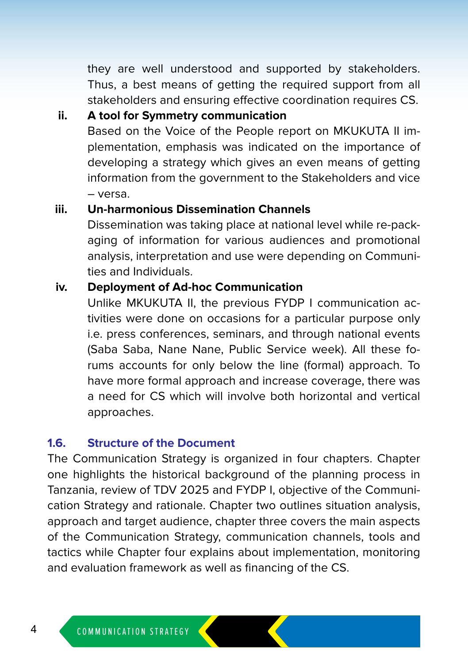they are well understood and supported by stakeholders. Thus, a best means of getting the required support from all stakeholders and ensuring effective coordination requires CS.

#### **ii. A tool for Symmetry communication**

Based on the Voice of the People report on MKUKUTA II implementation, emphasis was indicated on the importance of developing a strategy which gives an even means of getting information from the government to the Stakeholders and vice – versa.

#### **iii. Un-harmonious Dissemination Channels**

Dissemination was taking place at national level while re-packaging of information for various audiences and promotional analysis, interpretation and use were depending on Communities and Individuals.

#### **iv. Deployment of Ad-hoc Communication**

Unlike MKUKUTA II, the previous FYDP I communication activities were done on occasions for a particular purpose only i.e. press conferences, seminars, and through national events (Saba Saba, Nane Nane, Public Service week). All these forums accounts for only below the line (formal) approach. To have more formal approach and increase coverage, there was a need for CS which will involve both horizontal and vertical approaches.

#### **1.6. Structure of the Document**

The Communication Strategy is organized in four chapters. Chapter one highlights the historical background of the planning process in Tanzania, review of TDV 2025 and FYDP I, objective of the Communication Strategy and rationale. Chapter two outlines situation analysis, approach and target audience, chapter three covers the main aspects of the Communication Strategy, communication channels, tools and tactics while Chapter four explains about implementation, monitoring and evaluation framework as well as financing of the CS.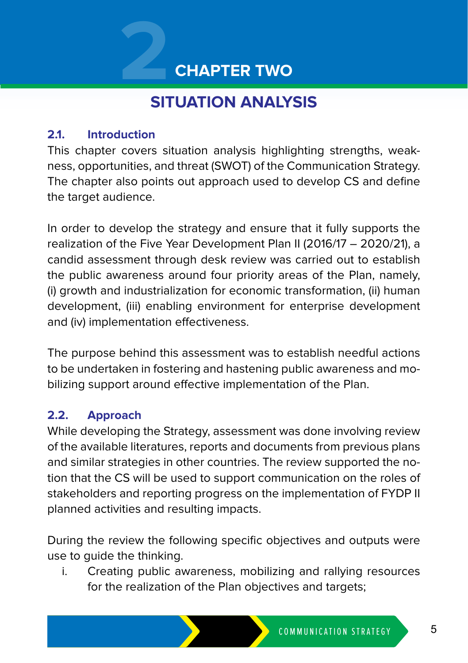# **2 CHAPTER TWO**

# **SITUATION ANALYSIS**

#### **2.1. Introduction**

This chapter covers situation analysis highlighting strengths, weakness, opportunities, and threat (SWOT) of the Communication Strategy. The chapter also points out approach used to develop CS and define the target audience.

In order to develop the strategy and ensure that it fully supports the realization of the Five Year Development Plan II (2016/17 – 2020/21), a candid assessment through desk review was carried out to establish the public awareness around four priority areas of the Plan, namely, (i) growth and industrialization for economic transformation, (ii) human development, (iii) enabling environment for enterprise development and (iv) implementation effectiveness.

The purpose behind this assessment was to establish needful actions to be undertaken in fostering and hastening public awareness and mobilizing support around effective implementation of the Plan.

#### **2.2. Approach**

While developing the Strategy, assessment was done involving review of the available literatures, reports and documents from previous plans and similar strategies in other countries. The review supported the notion that the CS will be used to support communication on the roles of stakeholders and reporting progress on the implementation of FYDP II planned activities and resulting impacts.

During the review the following specific objectives and outputs were use to guide the thinking.

i. Creating public awareness, mobilizing and rallying resources for the realization of the Plan objectives and targets;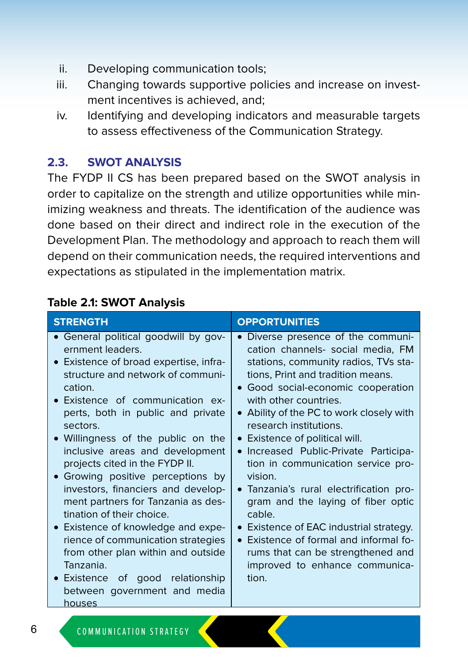- ii. Developing communication tools;
- iii. Changing towards supportive policies and increase on investment incentives is achieved, and;
- iv. Identifying and developing indicators and measurable targets to assess effectiveness of the Communication Strategy.

#### **2.3. SWOT ANALYSIS**

The FYDP II CS has been prepared based on the SWOT analysis in order to capitalize on the strength and utilize opportunities while minimizing weakness and threats. The identification of the audience was done based on their direct and indirect role in the execution of the Development Plan. The methodology and approach to reach them will depend on their communication needs, the required interventions and expectations as stipulated in the implementation matrix.

#### **Table 2.1: SWOT Analysis**

| <b>STRENGTH</b>                                                                                                                                                                                                                                                                                                                                                                                                                                                                                                                                                                                                                                                                                           | <b>OPPORTUNITIES</b>                                                                                                                                                                                                                                                                                                                                                                                                                                                                                                                                                                                                                                                                             |
|-----------------------------------------------------------------------------------------------------------------------------------------------------------------------------------------------------------------------------------------------------------------------------------------------------------------------------------------------------------------------------------------------------------------------------------------------------------------------------------------------------------------------------------------------------------------------------------------------------------------------------------------------------------------------------------------------------------|--------------------------------------------------------------------------------------------------------------------------------------------------------------------------------------------------------------------------------------------------------------------------------------------------------------------------------------------------------------------------------------------------------------------------------------------------------------------------------------------------------------------------------------------------------------------------------------------------------------------------------------------------------------------------------------------------|
| General political goodwill by gov-<br>ernment leaders.<br>• Existence of broad expertise, infra-<br>structure and network of communi-<br>cation.<br>• Existence of communication ex-<br>perts, both in public and private<br>sectors.<br>• Willingness of the public on the<br>inclusive areas and development<br>projects cited in the FYDP II.<br>• Growing positive perceptions by<br>investors, financiers and develop-<br>ment partners for Tanzania as des-<br>tination of their choice.<br>• Existence of knowledge and expe-<br>rience of communication strategies<br>from other plan within and outside<br>Tanzania.<br>Existence of good relationship<br>between government and media<br>houses | • Diverse presence of the communi-<br>cation channels- social media, FM<br>stations, community radios, TVs sta-<br>tions, Print and tradition means.<br>• Good social-economic cooperation<br>with other countries.<br>• Ability of the PC to work closely with<br>research institutions.<br>• Existence of political will.<br>• Increased Public-Private Participa-<br>tion in communication service pro-<br>vision.<br>• Tanzania's rural electrification pro-<br>gram and the laying of fiber optic<br>cable.<br>Existence of EAC industrial strategy.<br>$\bullet$<br>• Existence of formal and informal fo-<br>rums that can be strengthened and<br>improved to enhance communica-<br>tion. |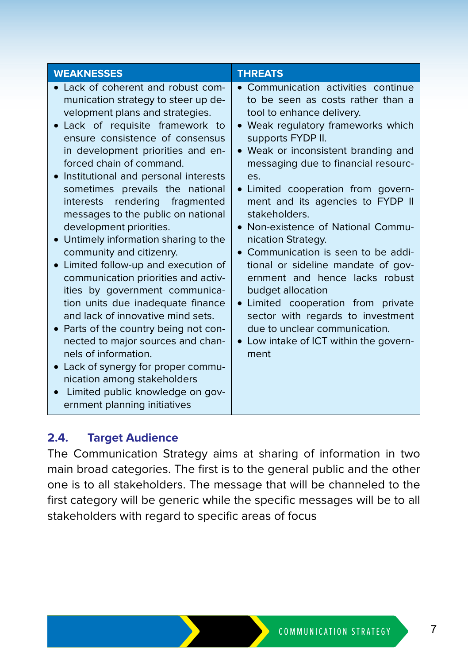| <b>WEAKNESSES</b>                                                                                                                                                                                                                                                                                                                                                                                                                                                                                                                                                                                                                                                                                                                                                                                                                                                                                                                        | <b>THREATS</b>                                                                                                                                                                                                                                                                                                                                                                                                                                                                                                                                                                                                                                                                                                 |
|------------------------------------------------------------------------------------------------------------------------------------------------------------------------------------------------------------------------------------------------------------------------------------------------------------------------------------------------------------------------------------------------------------------------------------------------------------------------------------------------------------------------------------------------------------------------------------------------------------------------------------------------------------------------------------------------------------------------------------------------------------------------------------------------------------------------------------------------------------------------------------------------------------------------------------------|----------------------------------------------------------------------------------------------------------------------------------------------------------------------------------------------------------------------------------------------------------------------------------------------------------------------------------------------------------------------------------------------------------------------------------------------------------------------------------------------------------------------------------------------------------------------------------------------------------------------------------------------------------------------------------------------------------------|
| • Lack of coherent and robust com-<br>munication strategy to steer up de-<br>velopment plans and strategies.<br>Lack of requisite framework to<br>ensure consistence of consensus<br>in development priorities and en-<br>forced chain of command.<br>Institutional and personal interests<br>sometimes prevails the national<br>interests rendering fragmented<br>messages to the public on national<br>development priorities.<br>Untimely information sharing to the<br>community and citizenry.<br>Limited follow-up and execution of<br>communication priorities and activ-<br>ities by government communica-<br>tion units due inadequate finance<br>and lack of innovative mind sets.<br>Parts of the country being not con-<br>nected to major sources and chan-<br>nels of information.<br>Lack of synergy for proper commu-<br>nication among stakeholders<br>Limited public knowledge on gov-<br>ernment planning initiatives | • Communication activities continue<br>to be seen as costs rather than a<br>tool to enhance delivery.<br>• Weak regulatory frameworks which<br>supports FYDP II.<br>• Weak or inconsistent branding and<br>messaging due to financial resourc-<br>es.<br>• Limited cooperation from govern-<br>ment and its agencies to FYDP II<br>stakeholders.<br>• Non-existence of National Commu-<br>nication Strategy.<br>• Communication is seen to be addi-<br>tional or sideline mandate of gov-<br>ernment and hence lacks robust<br>budget allocation<br>• Limited cooperation from private<br>sector with regards to investment<br>due to unclear communication.<br>• Low intake of ICT within the govern-<br>ment |

#### **2.4. Target Audience**

The Communication Strategy aims at sharing of information in two main broad categories. The first is to the general public and the other one is to all stakeholders. The message that will be channeled to the first category will be generic while the specific messages will be to all stakeholders with regard to specific areas of focus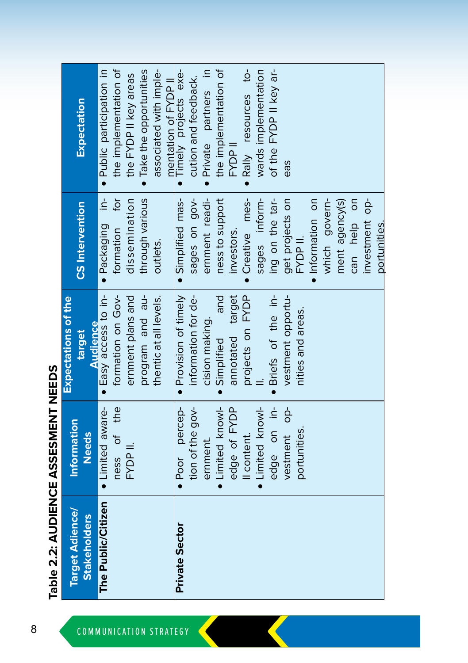|                                               |                             | <b>Expectations of the</b> |                        |                           |
|-----------------------------------------------|-----------------------------|----------------------------|------------------------|---------------------------|
| <b>Target Adience/</b><br><b>Stakeholders</b> | Information<br><b>Needs</b> | <b>Audience</b><br>target  | <b>CS</b> Intervention | Expectation               |
| The Public/Citizen                            | · Limited aware-            | · Easy access to in-       | · Packaging in-        | · Public participation in |
|                                               | ness of the                 | formation on Gov-          | formation for          | the implementation of     |
|                                               | FYDP II.                    | ernment plans and          | dissemination          | the FYDP II key areas     |
|                                               |                             | program and au-            | through various        | · Take the opportunities  |
|                                               |                             | thentic at all levels.     | outlets.               | associated with imple-    |
|                                               |                             |                            |                        | mentation of FYDP II      |
| <b>Private Sector</b>                         | · Poor percep-              | • Provision of timely      | · Simplified mas-      | Timely projects exe-      |
|                                               | tion of the gov-            | information for de-        | sages on gov-          | cution and feedback.      |
|                                               | ernment.                    | cision making.             | ernment readi-         | Private partners in       |
|                                               | · Limited knowl-            | pue<br>· Simplified        | ness to support        | the implementation of     |
|                                               | edge of FYDP                | annotated target           | investors.             | FYDP II                   |
|                                               | Il content.                 | projects on FYDP           | • Creative mes-        | . Rally resources to-     |
|                                               | • Limited knowl-            |                            | sages inform-          | wards implementation      |
|                                               | edge on in-                 | · Briefs of the in-        | ing on the tar-        | of the FYDP II key ar-    |
|                                               | vestment op-                | vestment opportu-          | get projects on        | eas                       |
|                                               | portunities.                | nities and areas.          | FYDP II.               |                           |
|                                               |                             |                            | · Information on       |                           |
|                                               |                             |                            | which govern-          |                           |
|                                               |                             |                            | ment agency(s)         |                           |
|                                               |                             |                            | can help on            |                           |
|                                               |                             |                            | investment op-         |                           |
|                                               |                             |                            | portunities.           |                           |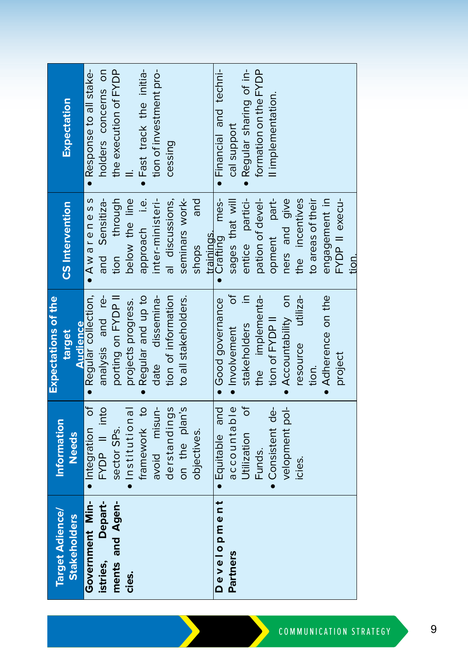| <b>Target Adience/</b> | Information      | <b>Expectations of the</b> |                        |                          |
|------------------------|------------------|----------------------------|------------------------|--------------------------|
| <b>Stakeholders</b>    | <b>Needs</b>     | target                     | <b>CS</b> Intervention | <b>Expectation</b>       |
|                        |                  | <b>Audience</b>            |                        |                          |
| Government Min-        | · Integration of | · Regular collection,      | · Awareness            | . Response to all stake- |
| Depart-<br>istries,    | FYDP II into     | analysis and re-           | and Sensitiza-         | holders concerns on      |
| ments and Agen-        | sector SPs.      | porting on FYDP II         | tion through           | the execution of FYDP    |
| cies.                  | · Institutional  | projects progress.         | below the line         |                          |
|                        | framework to     | . Regular and up to        | approach i.e.          | · Fast track the initia- |
|                        | avoid misun-     | date dissemina-            | inter-ministeri-       | tion of investment pro-  |
|                        | derstandings     | tion of information        | al discussions,        | cessing                  |
|                        | on the plan's    | to all stakeholders.       | seminars work-         |                          |
|                        | objectives.      |                            | and<br>shops           |                          |
|                        |                  |                            | trainings.             |                          |
| Development            | • Equitable and  | · Good governance          | • Crafting mes-        | · Financial and techni-  |
| Partners               | accountable      | ზ<br>ნ<br>· Involvement    | sages that will        | cal support              |
|                        | Utilization of   | $\equiv$<br>stakeholders   | entice partici-        | · Regular sharing of in- |
|                        | Funds.           | the implementa-            | pation of devel-       | formation on the FYDP    |
|                        | · Consistent de- | tion of FYDP II            | opment part-           | Il implementation.       |
|                        | velopment pol-   | • Accountability on        | ners and give          |                          |
|                        | icies.           | resource utiliza-          | the incentives         |                          |
|                        |                  | tion.                      | to areas of their      |                          |
|                        |                  | • Adherence on the         | engagement in          |                          |
|                        |                  | project                    | FYDP II execu-         |                          |
|                        |                  |                            | tion.                  |                          |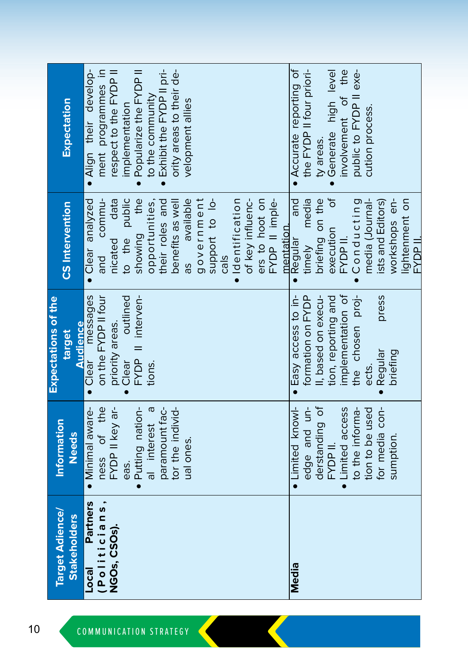| Target Adience/          | Information      | Expectations of the<br>target | <b>CS</b> Intervention    | Expectation              |
|--------------------------|------------------|-------------------------------|---------------------------|--------------------------|
| <b>Stakeholders</b>      | <b>Needs</b>     | <b>Audience</b>               |                           |                          |
| <b>Partners</b><br>Local | · Minimal aware- | Clear messages                | • Clear analyzed          | · Align their develop-   |
| (Politicians,            | ness of the      | on the FYDP II four           | and commu-                | ment programmes in       |
| <b>NGOs, CSOs).</b>      | FYDP II key ar-  | priority areas.               | nicated data              | respect to the FYDP II   |
|                          | eas.             | outlined<br>Clear             | to the public             | implementation           |
|                          | Putting nation-  | FYDP II interven-             | showing the               | Popularize the FYDP II   |
|                          | al interest a    | tions.                        | opportunities,            | to the community         |
|                          | paramount fac-   |                               | their roles and           | Exhibit the FYDP II pri- |
|                          | tor the individ- |                               | benefits as wel           | ority areas to their de- |
|                          | ual ones.        |                               | available<br>as           | velopment allies         |
|                          |                  |                               | government                |                          |
|                          |                  |                               | support to lo-            |                          |
|                          |                  |                               | cals                      |                          |
|                          |                  |                               | · Identification          |                          |
|                          |                  |                               | of key influenc-          |                          |
|                          |                  |                               | ers to hoot on            |                          |
|                          |                  |                               | FYDP II imple-            |                          |
|                          |                  |                               | mentation.                |                          |
| Media                    | • Limited knowl- | · Easy access to in-          | and<br>$\bullet$ Regular  | • Accurate reporting of  |
|                          | edge and un-     | formation on FYDP             | timely media              | the FYDP II four priori- |
|                          | derstanding of   | I, based on execu-            | briefing on the           | ty areas.                |
|                          | FYDP II.         | tion, reporting and           | ð<br>execution            | Generate high level      |
|                          | • Limited access | implementation of             | FYDP II.                  | the<br>involvement of    |
|                          | to the informa-  | the chosen proj-              | Conducting                | public to FYDP II exe-   |
|                          | tion to be used  | ects.                         | media (Journal-           | cution process.          |
|                          | for media con-   | press<br>Regular              | ists and Editors)         |                          |
|                          | sumption.        | briefing                      | workshops en-             |                          |
|                          |                  |                               | lightenment on<br>II daya |                          |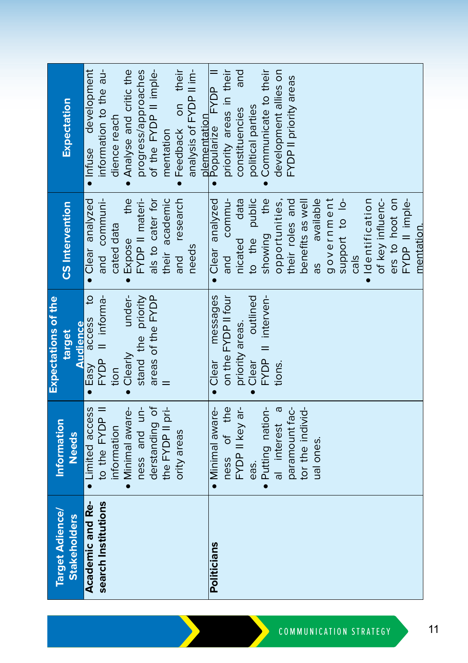| <b>Target Adience/</b> | Information       | Expectations of the         |                        |                                      |
|------------------------|-------------------|-----------------------------|------------------------|--------------------------------------|
| <b>Stakeholders</b>    | <b>Needs</b>      | target                      | <b>CS</b> Intervention | Expectation                          |
|                        |                   | <b>Audience</b>             |                        |                                      |
| Academic and Re-       | • Limited access  | · Easy access to            | · Clear analyzed       | · Infuse development                 |
| search Institutions    | to the FYDP II    | FYDP II informa-            | and communi-           | information to the au-               |
|                        | information       | tion                        | cated data             | dience reach                         |
|                        | · Minimal aware-  | ·Clearly under-             | • Expose the           | . Analyse and critic the             |
|                        | ness and un-      | stand the priority          | FYDP II materi-        | progress/approaches                  |
|                        | derstanding of    | areas of the FYDP           | als to cater for       | of the FYDP II imple-                |
|                        | the FYDP II pri-  |                             | their academic         | mentation                            |
|                        | ority areas       |                             | and research           | · Feedback on their                  |
|                        |                   |                             | needs                  | analysis of FYDP II im-              |
|                        |                   |                             |                        |                                      |
| Politicians            | · Minimal aware-  | messages<br>$\bullet$ Clear | · Clear analyzed       | plementation<br>• Popularize FYDP II |
|                        | ness of the       | on the FYDP II four         | and commu-             | priority areas in their              |
|                        | FYDP II key ar-   | priority areas.             | nicated data           | and<br>constituencies                |
|                        | eas.              | outlined<br>$\bullet$ Clear | to the public          | political parties                    |
|                        | · Putting nation- | FYDP II interven-           | showing the            | Communicate to their                 |
|                        | al interest a     | tions.                      | opportunities,         | development allies on                |
|                        | paramount fac-    |                             | their roles and        | FYDP II priority areas               |
|                        | tor the individ-  |                             | benefits as well       |                                      |
|                        | ual ones.         |                             | available<br>as        |                                      |
|                        |                   |                             | government             |                                      |
|                        |                   |                             | support to lo-         |                                      |
|                        |                   |                             | cals                   |                                      |
|                        |                   |                             | · Identification       |                                      |
|                        |                   |                             | of key influenc-       |                                      |
|                        |                   |                             | ers to hoot on         |                                      |
|                        |                   |                             | FYDP II imple-         |                                      |
|                        |                   |                             | mentation.             |                                      |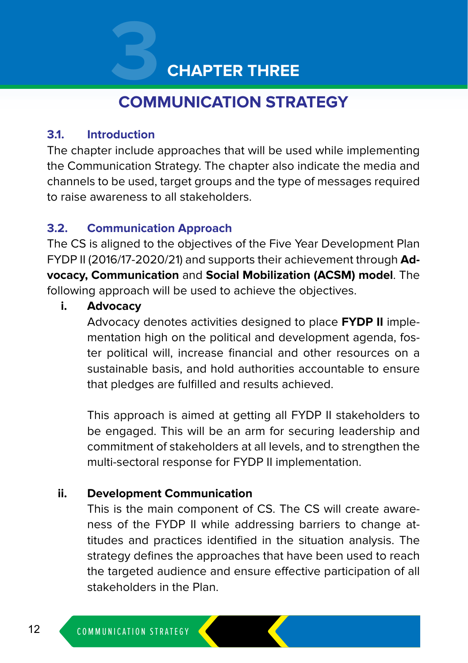# **3 CHAPTER THREE**

# **COMMUNICATION STRATEGY**

#### **3.1. Introduction**

The chapter include approaches that will be used while implementing the Communication Strategy. The chapter also indicate the media and channels to be used, target groups and the type of messages required to raise awareness to all stakeholders.

#### **3.2. Communication Approach**

The CS is aligned to the objectives of the Five Year Development Plan FYDP II (2016/17-2020/21) and supports their achievement through **Advocacy, Communication** and **Social Mobilization (ACSM) model**. The following approach will be used to achieve the objectives.

#### **i. Advocacy**

Advocacy denotes activities designed to place **FYDP II** implementation high on the political and development agenda, foster political will, increase financial and other resources on a sustainable basis, and hold authorities accountable to ensure that pledges are fulfilled and results achieved.

This approach is aimed at getting all FYDP II stakeholders to be engaged. This will be an arm for securing leadership and commitment of stakeholders at all levels, and to strengthen the multi-sectoral response for FYDP II implementation.

#### **ii. Development Communication**

This is the main component of CS. The CS will create awareness of the FYDP II while addressing barriers to change attitudes and practices identified in the situation analysis. The strategy defines the approaches that have been used to reach the targeted audience and ensure effective participation of all stakeholders in the Plan.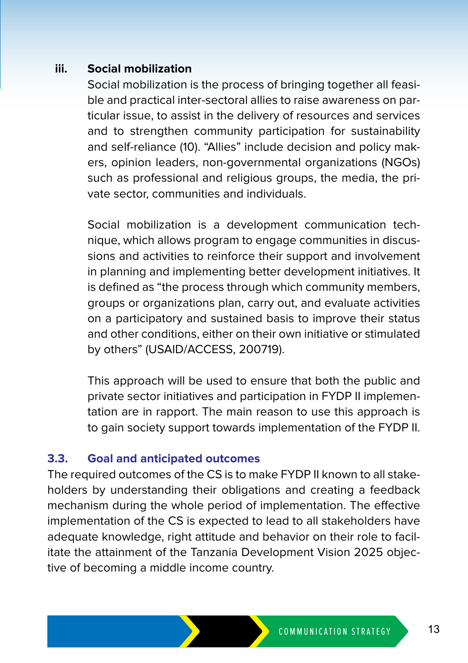#### **iii. Social mobilization**

Social mobilization is the process of bringing together all feasible and practical inter-sectoral allies to raise awareness on particular issue, to assist in the delivery of resources and services and to strengthen community participation for sustainability and self-reliance (10). "Allies" include decision and policy makers, opinion leaders, non-governmental organizations (NGOs) such as professional and religious groups, the media, the private sector, communities and individuals.

Social mobilization is a development communication technique, which allows program to engage communities in discussions and activities to reinforce their support and involvement in planning and implementing better development initiatives. It is defined as "the process through which community members, groups or organizations plan, carry out, and evaluate activities on a participatory and sustained basis to improve their status and other conditions, either on their own initiative or stimulated by others" (USAID/ACCESS, 200719).

This approach will be used to ensure that both the public and private sector initiatives and participation in FYDP II implementation are in rapport. The main reason to use this approach is to gain society support towards implementation of the FYDP II.

#### **3.3. Goal and anticipated outcomes**

The required outcomes of the CS is to make FYDP II known to all stakeholders by understanding their obligations and creating a feedback mechanism during the whole period of implementation. The effective implementation of the CS is expected to lead to all stakeholders have adequate knowledge, right attitude and behavior on their role to facilitate the attainment of the Tanzania Development Vision 2025 objective of becoming a middle income country.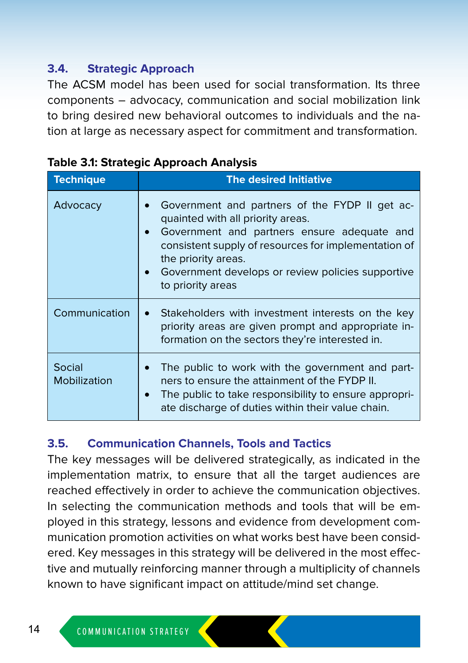#### **3.4. Strategic Approach**

The ACSM model has been used for social transformation. Its three components – advocacy, communication and social mobilization link to bring desired new behavioral outcomes to individuals and the nation at large as necessary aspect for commitment and transformation.

| Technique              | <b>The desired Initiative</b>                                                                                                                                                                                                                                                                                         |
|------------------------|-----------------------------------------------------------------------------------------------------------------------------------------------------------------------------------------------------------------------------------------------------------------------------------------------------------------------|
|                        |                                                                                                                                                                                                                                                                                                                       |
| Advocacy               | Government and partners of the FYDP II get ac-<br>quainted with all priority areas.<br>Government and partners ensure adequate and<br>$\bullet$<br>consistent supply of resources for implementation of<br>the priority areas.<br>Government develops or review policies supportive<br>$\bullet$<br>to priority areas |
| Communication          | Stakeholders with investment interests on the key<br>$\bullet$<br>priority areas are given prompt and appropriate in-<br>formation on the sectors they're interested in.                                                                                                                                              |
| Social<br>Mobilization | The public to work with the government and part-<br>ners to ensure the attainment of the FYDP II.<br>The public to take responsibility to ensure appropri-<br>$\bullet$<br>ate discharge of duties within their value chain.                                                                                          |

|  |  |  | <b>Table 3.1: Strategic Approach Analysis</b> |  |
|--|--|--|-----------------------------------------------|--|
|--|--|--|-----------------------------------------------|--|

#### **3.5. Communication Channels, Tools and Tactics**

The key messages will be delivered strategically, as indicated in the implementation matrix, to ensure that all the target audiences are reached effectively in order to achieve the communication objectives. In selecting the communication methods and tools that will be employed in this strategy, lessons and evidence from development communication promotion activities on what works best have been considered. Key messages in this strategy will be delivered in the most effective and mutually reinforcing manner through a multiplicity of channels known to have significant impact on attitude/mind set change.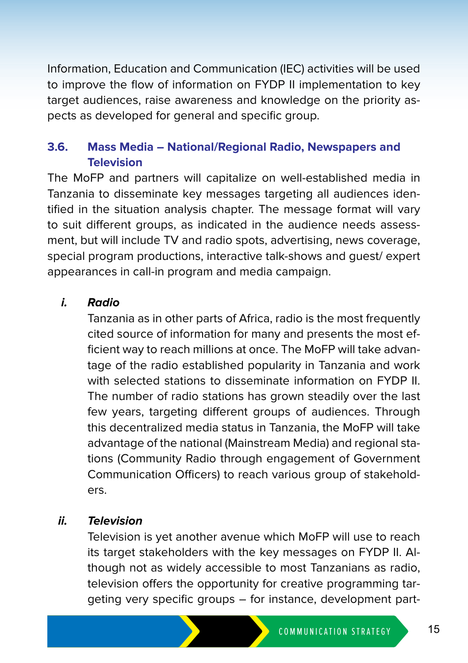Information, Education and Communication (IEC) activities will be used to improve the flow of information on FYDP II implementation to key target audiences, raise awareness and knowledge on the priority aspects as developed for general and specific group.

#### **3.6. Mass Media – National/Regional Radio, Newspapers and Television**

The MoFP and partners will capitalize on well-established media in Tanzania to disseminate key messages targeting all audiences identified in the situation analysis chapter. The message format will vary to suit different groups, as indicated in the audience needs assessment, but will include TV and radio spots, advertising, news coverage, special program productions, interactive talk-shows and guest/ expert appearances in call-in program and media campaign.

#### **i. Radio**

Tanzania as in other parts of Africa, radio is the most frequently cited source of information for many and presents the most efficient way to reach millions at once. The MoFP will take advantage of the radio established popularity in Tanzania and work with selected stations to disseminate information on FYDP II. The number of radio stations has grown steadily over the last few years, targeting different groups of audiences. Through this decentralized media status in Tanzania, the MoFP will take advantage of the national (Mainstream Media) and regional stations (Community Radio through engagement of Government Communication Officers) to reach various group of stakeholders.

#### **ii. Television**

Television is yet another avenue which MoFP will use to reach its target stakeholders with the key messages on FYDP II. Although not as widely accessible to most Tanzanians as radio, television offers the opportunity for creative programming targeting very specific groups – for instance, development part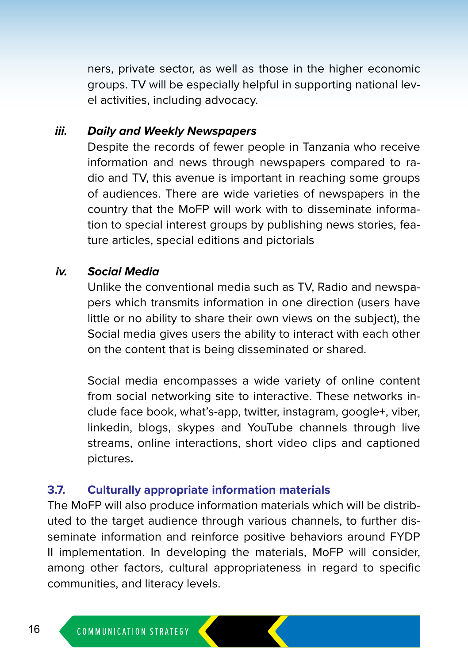ners, private sector, as well as those in the higher economic groups. TV will be especially helpful in supporting national level activities, including advocacy.

#### **iii. Daily and Weekly Newspapers**

Despite the records of fewer people in Tanzania who receive information and news through newspapers compared to radio and TV, this avenue is important in reaching some groups of audiences. There are wide varieties of newspapers in the country that the MoFP will work with to disseminate information to special interest groups by publishing news stories, feature articles, special editions and pictorials

#### **iv. Social Media**

Unlike the conventional media such as TV, Radio and newspapers which transmits information in one direction (users have little or no ability to share their own views on the subject), the Social media gives users the ability to interact with each other on the content that is being disseminated or shared.

Social media encompasses a wide variety of online content from social networking site to interactive. These networks include face book, what's-app, twitter, instagram, google+, viber, linkedin, blogs, skypes and YouTube channels through live streams, online interactions, short video clips and captioned pictures**.**

#### **3.7. Culturally appropriate information materials**

The MoFP will also produce information materials which will be distributed to the target audience through various channels, to further disseminate information and reinforce positive behaviors around FYDP II implementation. In developing the materials, MoFP will consider, among other factors, cultural appropriateness in regard to specific communities, and literacy levels.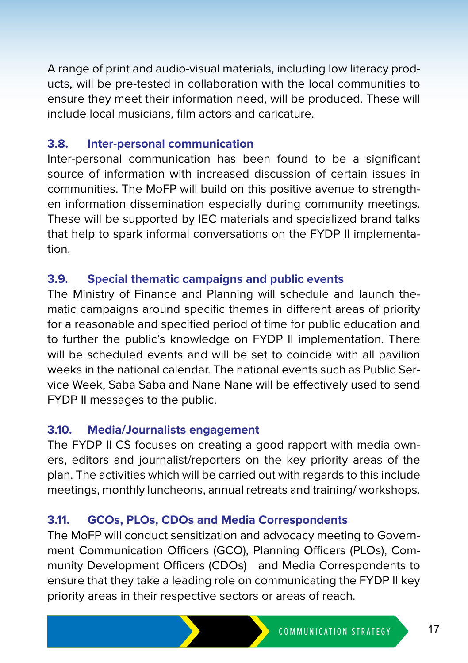A range of print and audio-visual materials, including low literacy products, will be pre-tested in collaboration with the local communities to ensure they meet their information need, will be produced. These will include local musicians, film actors and caricature.

#### **3.8. Inter-personal communication**

Inter-personal communication has been found to be a significant source of information with increased discussion of certain issues in communities. The MoFP will build on this positive avenue to strengthen information dissemination especially during community meetings. These will be supported by IEC materials and specialized brand talks that help to spark informal conversations on the FYDP II implementation.

#### **3.9. Special thematic campaigns and public events**

The Ministry of Finance and Planning will schedule and launch thematic campaigns around specific themes in different areas of priority for a reasonable and specified period of time for public education and to further the public's knowledge on FYDP II implementation. There will be scheduled events and will be set to coincide with all pavilion weeks in the national calendar. The national events such as Public Service Week, Saba Saba and Nane Nane will be effectively used to send FYDP II messages to the public.

#### **3.10. Media/Journalists engagement**

The FYDP II CS focuses on creating a good rapport with media owners, editors and journalist/reporters on the key priority areas of the plan. The activities which will be carried out with regards to this include meetings, monthly luncheons, annual retreats and training/ workshops.

#### **3.11. GCOs, PLOs, CDOs and Media Correspondents**

The MoFP will conduct sensitization and advocacy meeting to Government Communication Officers (GCO), Planning Officers (PLOs), Community Development Officers (CDOs) and Media Correspondents to ensure that they take a leading role on communicating the FYDP II key priority areas in their respective sectors or areas of reach.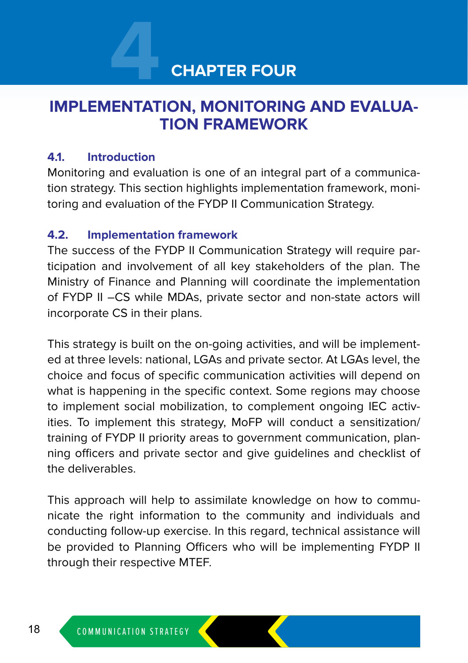# **4 CHAPTER FOUR**

## **IMPLEMENTATION, MONITORING AND EVALUA-TION FRAMEWORK**

#### **4.1. Introduction**

Monitoring and evaluation is one of an integral part of a communication strategy. This section highlights implementation framework, monitoring and evaluation of the FYDP II Communication Strategy.

#### **4.2. Implementation framework**

The success of the FYDP II Communication Strategy will require participation and involvement of all key stakeholders of the plan. The Ministry of Finance and Planning will coordinate the implementation of FYDP II –CS while MDAs, private sector and non-state actors will incorporate CS in their plans.

This strategy is built on the on-going activities, and will be implemented at three levels: national, LGAs and private sector. At LGAs level, the choice and focus of specific communication activities will depend on what is happening in the specific context. Some regions may choose to implement social mobilization, to complement ongoing IEC activities. To implement this strategy, MoFP will conduct a sensitization/ training of FYDP II priority areas to government communication, planning officers and private sector and give guidelines and checklist of the deliverables.

This approach will help to assimilate knowledge on how to communicate the right information to the community and individuals and conducting follow-up exercise. In this regard, technical assistance will be provided to Planning Officers who will be implementing FYDP II through their respective MTEF.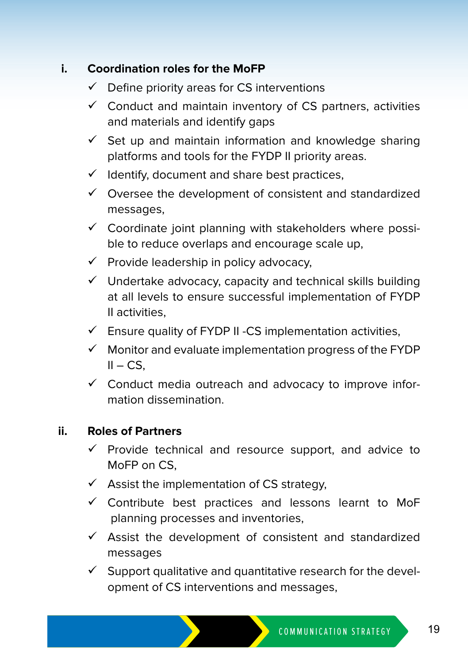#### **i. Coordination roles for the MoFP**

- $\checkmark$  Define priority areas for CS interventions
- $\checkmark$  Conduct and maintain inventory of CS partners, activities and materials and identify gaps
- $\checkmark$  Set up and maintain information and knowledge sharing platforms and tools for the FYDP II priority areas.
- $\checkmark$  Identify, document and share best practices,
- $\checkmark$  Oversee the development of consistent and standardized messages,
- $\checkmark$  Coordinate joint planning with stakeholders where possible to reduce overlaps and encourage scale up,
- $\checkmark$  Provide leadership in policy advocacy,
- $\checkmark$  Undertake advocacy, capacity and technical skills building at all levels to ensure successful implementation of FYDP II activities,
- $\checkmark$  Ensure quality of FYDP II -CS implementation activities,
- $\checkmark$  Monitor and evaluate implementation progress of the FYDP  $II - CS$ .
- $\checkmark$  Conduct media outreach and advocacy to improve information dissemination.

#### **ii. Roles of Partners**

- $\checkmark$  Provide technical and resource support, and advice to MoFP on CS,
- $\checkmark$  Assist the implementation of CS strategy,
- $\checkmark$  Contribute best practices and lessons learnt to MoF planning processes and inventories,
- $\checkmark$  Assist the development of consistent and standardized messages
- $\checkmark$  Support qualitative and quantitative research for the development of CS interventions and messages,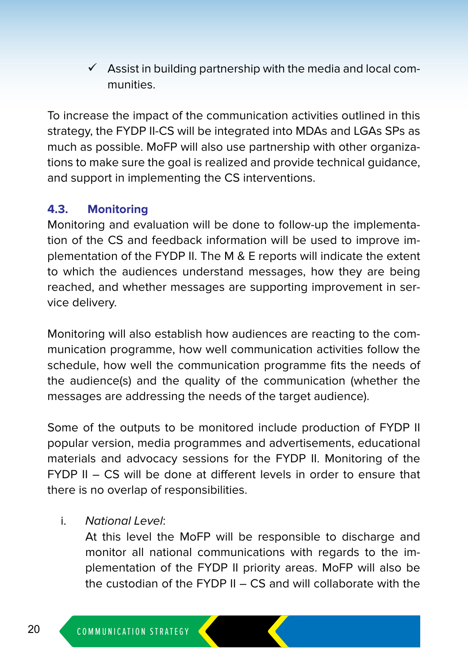$\checkmark$  Assist in building partnership with the media and local communities.

To increase the impact of the communication activities outlined in this strategy, the FYDP II-CS will be integrated into MDAs and LGAs SPs as much as possible. MoFP will also use partnership with other organizations to make sure the goal is realized and provide technical guidance, and support in implementing the CS interventions.

#### **4.3. Monitoring**

Monitoring and evaluation will be done to follow-up the implementation of the CS and feedback information will be used to improve implementation of the FYDP II. The M & E reports will indicate the extent to which the audiences understand messages, how they are being reached, and whether messages are supporting improvement in service delivery.

Monitoring will also establish how audiences are reacting to the communication programme, how well communication activities follow the schedule, how well the communication programme fits the needs of the audience(s) and the quality of the communication (whether the messages are addressing the needs of the target audience).

Some of the outputs to be monitored include production of FYDP II popular version, media programmes and advertisements, educational materials and advocacy sessions for the FYDP II. Monitoring of the FYDP II – CS will be done at different levels in order to ensure that there is no overlap of responsibilities.

i. National Level:

At this level the MoFP will be responsible to discharge and monitor all national communications with regards to the implementation of the FYDP II priority areas. MoFP will also be the custodian of the FYDP II – CS and will collaborate with the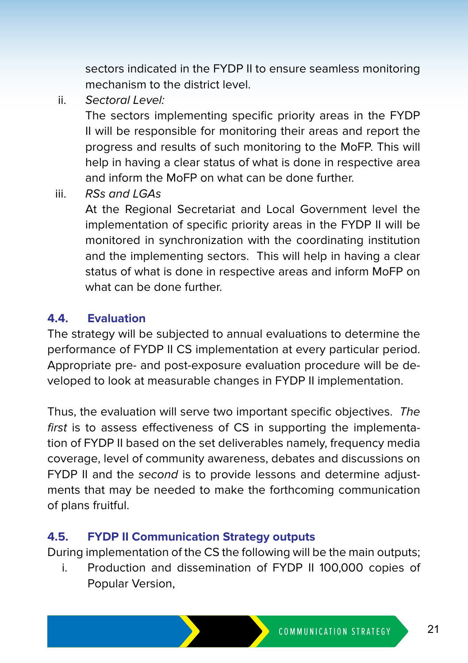sectors indicated in the FYDP II to ensure seamless monitoring mechanism to the district level.

ii. Sectoral Level:

The sectors implementing specific priority areas in the FYDP II will be responsible for monitoring their areas and report the progress and results of such monitoring to the MoFP. This will help in having a clear status of what is done in respective area and inform the MoFP on what can be done further.

iii. RSs and LGAs

At the Regional Secretariat and Local Government level the implementation of specific priority areas in the FYDP II will be monitored in synchronization with the coordinating institution and the implementing sectors. This will help in having a clear status of what is done in respective areas and inform MoFP on what can be done further.

#### **4.4. Evaluation**

The strategy will be subjected to annual evaluations to determine the performance of FYDP II CS implementation at every particular period. Appropriate pre- and post-exposure evaluation procedure will be developed to look at measurable changes in FYDP II implementation.

Thus, the evaluation will serve two important specific objectives. The first is to assess effectiveness of CS in supporting the implementation of FYDP II based on the set deliverables namely, frequency media coverage, level of community awareness, debates and discussions on FYDP II and the second is to provide lessons and determine adjustments that may be needed to make the forthcoming communication of plans fruitful.

#### **4.5. FYDP II Communication Strategy outputs**

During implementation of the CS the following will be the main outputs;

i. Production and dissemination of FYDP II 100,000 copies of Popular Version,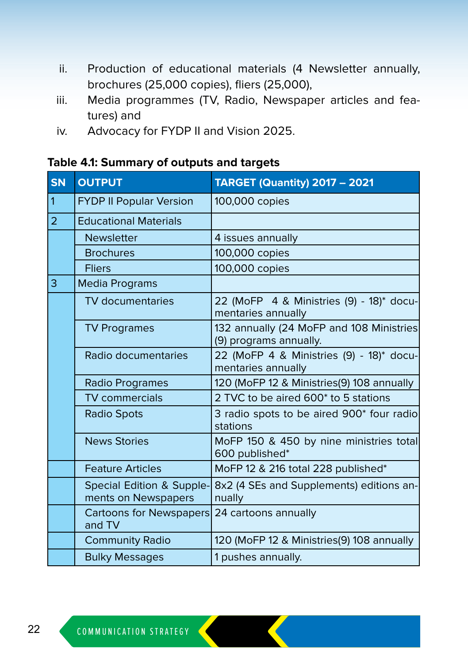- ii. Production of educational materials (4 Newsletter annually, brochures (25,000 copies), fliers (25,000),
- iii. Media programmes (TV, Radio, Newspaper articles and features) and
- iv. Advocacy for FYDP II and Vision 2025.

|  |  |  | Table 4.1: Summary of outputs and targets |
|--|--|--|-------------------------------------------|
|--|--|--|-------------------------------------------|

| <b>SN</b>      | <b>OUTPUT</b>                                    | <b>TARGET (Quantity) 2017 - 2021</b>                               |
|----------------|--------------------------------------------------|--------------------------------------------------------------------|
| $\mathbf{1}$   | <b>FYDP II Popular Version</b>                   | 100,000 copies                                                     |
| $\overline{2}$ | <b>Educational Materials</b>                     |                                                                    |
|                | <b>Newsletter</b>                                | 4 issues annually                                                  |
|                | <b>Brochures</b>                                 | 100,000 copies                                                     |
|                | <b>Fliers</b>                                    | 100,000 copies                                                     |
| 3              | <b>Media Programs</b>                            |                                                                    |
|                | <b>TV</b> documentaries                          | 22 (MoFP 4 & Ministries (9) - 18)* docu-<br>mentaries annually     |
|                | <b>TV Programes</b>                              | 132 annually (24 MoFP and 108 Ministries<br>(9) programs annually. |
|                | Radio documentaries                              | 22 (MoFP 4 & Ministries (9) - 18)* docu-<br>mentaries annually     |
|                | <b>Radio Programes</b>                           | 120 (MoFP 12 & Ministries(9) 108 annually                          |
|                | <b>TV</b> commercials                            | 2 TVC to be aired 600* to 5 stations                               |
|                | <b>Radio Spots</b>                               | 3 radio spots to be aired 900* four radio<br>stations              |
|                | <b>News Stories</b>                              | MoFP 150 & 450 by nine ministries total<br>600 published*          |
|                | <b>Feature Articles</b>                          | MoFP 12 & 216 total 228 published*                                 |
|                | Special Edition & Supple-<br>ments on Newspapers | 8x2 (4 SEs and Supplements) editions an-<br>nually                 |
|                | Cartoons for Newspapers<br>and TV                | 24 cartoons annually                                               |
|                | <b>Community Radio</b>                           | 120 (MoFP 12 & Ministries(9) 108 annually                          |
|                | <b>Bulky Messages</b>                            | 1 pushes annually.                                                 |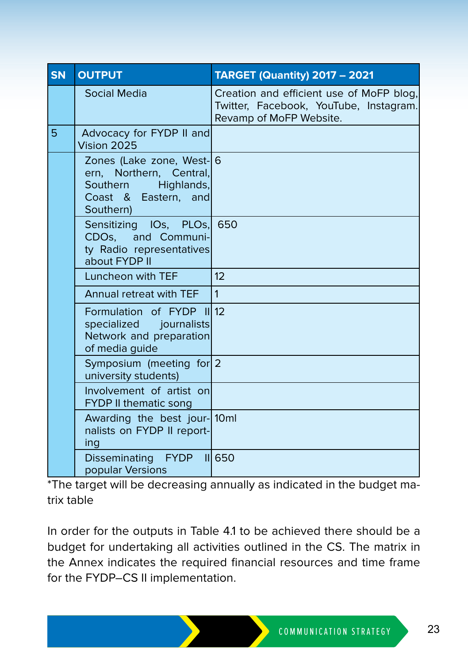| <b>SN</b> | <b>OUTPUT</b>                                                                                                    | <b>TARGET (Quantity) 2017 - 2021</b>                                                                          |
|-----------|------------------------------------------------------------------------------------------------------------------|---------------------------------------------------------------------------------------------------------------|
|           | Social Media                                                                                                     | Creation and efficient use of MoFP blog.<br>Twitter, Facebook, YouTube, Instagram.<br>Revamp of MoFP Website. |
| 5         | Advocacy for FYDP II and<br>Vision 2025                                                                          |                                                                                                               |
|           | Zones (Lake zone, West- 6<br>ern, Northern, Central,<br>Southern Highlands,<br>Coast & Eastern, and<br>Southern) |                                                                                                               |
|           | Sensitizing IOs, PLOs, 650<br>CDOs, and Communi-<br>ty Radio representatives<br>about FYDP II                    |                                                                                                               |
|           | Luncheon with TEF                                                                                                | 12                                                                                                            |
|           | Annual retreat with TEF                                                                                          | $\mathbf{1}$                                                                                                  |
|           | Formulation of FYDP III12<br>specialized journalists<br>Network and preparation<br>of media guide                |                                                                                                               |
|           | Symposium (meeting for 2<br>university students)                                                                 |                                                                                                               |
|           | Involvement of artist on<br><b>FYDP II thematic song</b>                                                         |                                                                                                               |
|           | Awarding the best jour-10ml<br>nalists on FYDP II report-<br>ing                                                 |                                                                                                               |
|           | Disseminating FYDP<br>popular Versions                                                                           | 650                                                                                                           |

\*The target will be decreasing annually as indicated in the budget matrix table

In order for the outputs in Table 4.1 to be achieved there should be a budget for undertaking all activities outlined in the CS. The matrix in the Annex indicates the required financial resources and time frame for the FYDP–CS II implementation.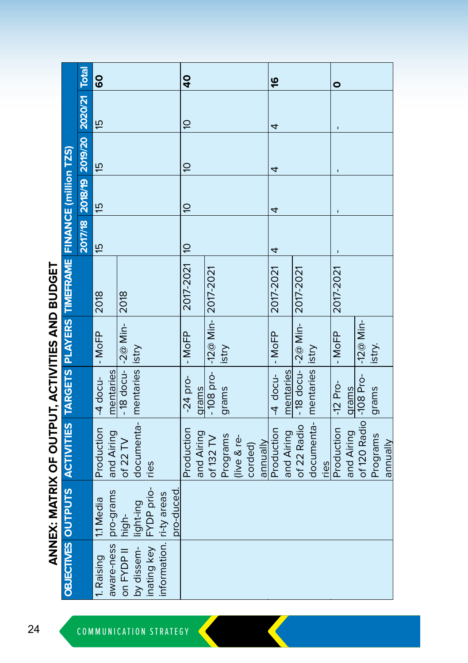| i<br> <br>               |
|--------------------------|
| $\overline{\phantom{a}}$ |
|                          |
| <br> <br>                |
|                          |
| 5                        |
| <b>EXPLAINING</b><br>Ī.  |
|                          |
|                          |
|                          |
| l                        |
|                          |

|                                                                               | <b>Total</b>                    | <b>GO</b>                |                      |                                        |                            | $\overline{\mathbf{q}}$ |                     |                       |          |             |         |          | 9                |            |                      |                                |      | $\bullet$  |            |                         |          |          |
|-------------------------------------------------------------------------------|---------------------------------|--------------------------|----------------------|----------------------------------------|----------------------------|-------------------------|---------------------|-----------------------|----------|-------------|---------|----------|------------------|------------|----------------------|--------------------------------|------|------------|------------|-------------------------|----------|----------|
|                                                                               |                                 | fö                       |                      |                                        |                            | $\overline{a}$          |                     |                       |          |             |         |          | 4                |            |                      |                                |      |            |            |                         |          |          |
|                                                                               |                                 | έō                       |                      |                                        |                            | $\overline{a}$          |                     |                       |          |             |         |          | 4                |            |                      |                                |      |            |            |                         |          |          |
|                                                                               | 2017/18 2018/19 2019/20 2020/21 | έō                       |                      |                                        |                            | ă                       |                     |                       |          |             |         |          | 4                |            |                      |                                |      |            |            |                         |          |          |
|                                                                               |                                 | 15                       |                      |                                        |                            |                         |                     |                       |          |             |         |          | 4                |            |                      |                                |      |            |            |                         |          |          |
|                                                                               |                                 | 2018                     | 2018                 |                                        |                            | 2017-2021 10            |                     |                       |          |             |         |          | 2017-2021        |            | 2017-2021            |                                |      | 2017-2021  |            |                         |          |          |
|                                                                               |                                 | $ -$ MoFP                |                      |                                        |                            |                         | $-MoFP$             | $-12@$ Min- 2017-2021 | istry    |             |         |          |                  |            |                      |                                |      | $-MoFP$    |            | -12 $@$ Min-            | istry.   |          |
|                                                                               |                                 | mentaries<br>$-4$ docu-  | -18 docu- $-2@$ Min- |                                        |                            |                         | $-24$ pro-<br>qrams | $-108$ pro-           | grams    |             |         |          | -4 docu-  - MoFP | mentaries  | -18 docu- $-2@$ Min- |                                |      | $-12$ Pro- | grams      |                         | grams    |          |
| OBJECTIVES OUTPUTS ACTIVITIES TARGETS PLAYERS TIMEFRAME FINANCE (million TZS) |                                 | Production<br>and Airing | of 22 $TV$           | documenta-   mentaries   istry<br>ries |                            | Production              | and Airing          | of $132$ TV           | Programs | (live & re- | corded) | annually | Production       | and Airing | of 22 Radio          | documenta-   mentaries   istry | ries | Production | and Airing | of 120 Radio  -108 Pro- | Programs | annually |
|                                                                               |                                 | pro-grams<br>11 Media    |                      | FYDP prio-                             |                            | pro-duced               |                     |                       |          |             |         |          |                  |            |                      |                                |      |            |            |                         |          |          |
|                                                                               |                                 | aware-ness<br>1. Raising | on FYDP II high-     | by dissem- light-ing<br>inating key    | information.   ri-ty areas |                         |                     |                       |          |             |         |          |                  |            |                      |                                |      |            |            |                         |          |          |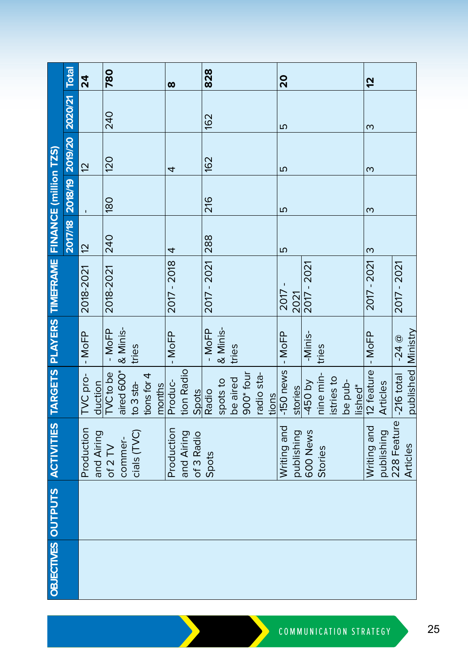|                                                                               |                                       | 24                       | 780        |            |                                               |             |        | $\infty$    |            |            | 828         |          |          |                       |            |       | 20                |            |             |           |            |         |                     | 5                   |            |                        |                    |
|-------------------------------------------------------------------------------|---------------------------------------|--------------------------|------------|------------|-----------------------------------------------|-------------|--------|-------------|------------|------------|-------------|----------|----------|-----------------------|------------|-------|-------------------|------------|-------------|-----------|------------|---------|---------------------|---------------------|------------|------------------------|--------------------|
|                                                                               |                                       |                          | 240        |            |                                               |             |        |             |            |            | 162         |          |          |                       |            |       | ω                 |            |             |           |            |         |                     | ო                   |            |                        |                    |
|                                                                               |                                       | $\overline{c}$           | <b>120</b> |            |                                               |             |        | 4           |            |            | <b>162</b>  |          |          |                       |            |       | ΓЮ                |            |             |           |            |         |                     | ო                   |            |                        |                    |
|                                                                               | 2017/18 2018/19 2019/20 2020/21 Total |                          | <b>080</b> |            |                                               |             |        |             |            |            | 216         |          |          |                       |            |       | ۵                 |            |             |           |            |         |                     | S                   |            |                        |                    |
|                                                                               |                                       | $\overline{12}$          | 240        |            |                                               |             |        | 4           |            |            | <b>288</b>  |          |          |                       |            |       | ιΩ                |            |             |           |            |         |                     | ო                   |            |                        |                    |
|                                                                               |                                       | 2018-2021                | 2018-2021  |            |                                               |             |        | 2017 - 2018 |            |            | 2017 - 2021 |          |          |                       |            |       | 2017              | 2021       | 2017 - 2021 |           |            |         |                     | 2017 - 2021         |            | 2017 - 2021            |                    |
|                                                                               |                                       | - MoFP                   | $-MoFP$    | & Minis-   | tries                                         |             |        | $-MoFP$     |            |            | $-MoFP$     | & Minis- | tries    |                       |            |       |                   |            | -Minis-     | tries     |            |         |                     |                     |            | $-24$ $@$              |                    |
|                                                                               |                                       | TVC pro-<br>duction      | TVC to be  | aired 600* | to 3 sta-                                     | tions for 4 | months | Produc-     | tion Radio | Spots      | Radio       | spots to | be aired | 900 <sup>*</sup> four | radio sta- | tions | -150 news  - MoFP | stories    | -450 by     | nine min- | istries to | be pub- | lished <sup>*</sup> | 12 feature   - MoFP | Articles   |                        | published Ministry |
| OBJECTIVES OUTPUTS ACTIVITIES TARGETS PLAYERS TIMEFRAME FINANCE (million TZS) |                                       | Production<br>and Airing | of $2$ TV  | commer-    | $\operatorname{cials}$ $(\operatorname{TVC})$ |             |        | Production  | and Airing | of 3 Radio | Spots       |          |          |                       |            |       | Writing and       | publishing | 600 News    | Stories   |            |         |                     | Writing and         | publishing | 228 Feature -216 total | Articles           |
|                                                                               |                                       |                          |            |            |                                               |             |        |             |            |            |             |          |          |                       |            |       |                   |            |             |           |            |         |                     |                     |            |                        |                    |
|                                                                               |                                       |                          |            |            |                                               |             |        |             |            |            |             |          |          |                       |            |       |                   |            |             |           |            |         |                     |                     |            |                        |                    |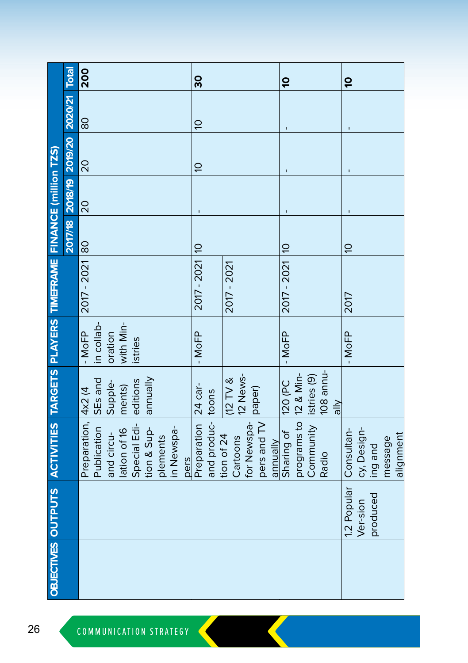|                                                                               |                                       | 200                                |                            |              |             |          |                    | 30                  |                      |                        |             |             | ő                      |                        |                         |                             | $\overline{a}$ |             |          |                      |
|-------------------------------------------------------------------------------|---------------------------------------|------------------------------------|----------------------------|--------------|-------------|----------|--------------------|---------------------|----------------------|------------------------|-------------|-------------|------------------------|------------------------|-------------------------|-----------------------------|----------------|-------------|----------|----------------------|
|                                                                               |                                       | 80                                 |                            |              |             |          |                    | $\tilde{\sigma}$    |                      |                        |             |             |                        |                        |                         |                             |                |             |          |                      |
|                                                                               | 2017/18 2018/19 2019/20 2020/21 Total | 20                                 |                            |              |             |          |                    | $\tilde{a}$         |                      |                        |             |             |                        |                        |                         |                             |                |             |          |                      |
|                                                                               |                                       | 20                                 |                            |              |             |          |                    |                     |                      |                        |             |             |                        |                        |                         |                             |                |             |          |                      |
|                                                                               |                                       | $\frac{80}{2}$                     |                            |              |             |          |                    |                     |                      |                        |             |             |                        |                        |                         |                             | $\overline{a}$ |             |          |                      |
|                                                                               |                                       | 2017 - 2021                        |                            |              |             |          |                    | 2017 - 2021 10      |                      | 2017 - 2021            |             |             | 2017 - 2021   10       |                        |                         |                             | 2017           |             |          |                      |
|                                                                               |                                       | in collab-<br>$-MoFP$              | with Min-<br>oration       | istries      |             |          |                    | $-MoFP$             |                      |                        |             |             | $-MoFP$                |                        |                         |                             | $-MoFP$        |             |          |                      |
|                                                                               |                                       | SEs and                            | Supple-<br>ments)          | editions     | dinunde     |          |                    |                     |                      | $(12)$ TV &            | 12 News-    | paper)      | 120 (PC                |                        | listries <sub>(9)</sub> | 108 annu-<br>$\frac{1}{10}$ |                |             |          |                      |
| OBJECTIVES OUTPUTS ACTIVITIES TARGETS PLAYERS TIMEFRAME FINANCE (million TZS) |                                       | Preparation, 4x2 (4<br>Publication | lation of 16<br>and circu- | Special Edi- | tion & Sup- | plements | in Newspa-<br>pers | Preparation 24 car- | and produc-<br>toons | tion of 24<br>Cartoons | for Newspa- | pers and TV | Sharing of<br>annually | programs to  12 & Min- | Community               | Radio                       | Consultan-     | cy, Design- | ing and  | alignment<br>message |
|                                                                               |                                       |                                    |                            |              |             |          |                    |                     |                      |                        |             |             |                        |                        |                         |                             | 1.2 Popular    | Ver-sion    | produced |                      |
|                                                                               |                                       |                                    |                            |              |             |          |                    |                     |                      |                        |             |             |                        |                        |                         |                             |                |             |          |                      |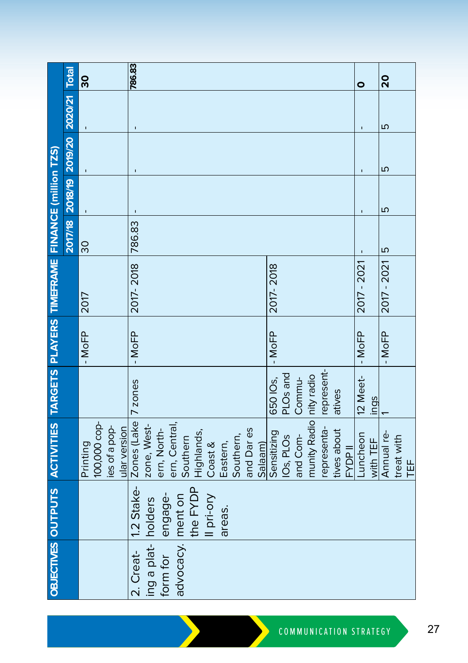|                                                                               | <b>Total</b>    | 8                                                         | 786.83                                                                                                                                                                                                                                                       | 0                    | 20                            |
|-------------------------------------------------------------------------------|-----------------|-----------------------------------------------------------|--------------------------------------------------------------------------------------------------------------------------------------------------------------------------------------------------------------------------------------------------------------|----------------------|-------------------------------|
|                                                                               | 2020/21         |                                                           |                                                                                                                                                                                                                                                              |                      | Б                             |
|                                                                               |                 |                                                           |                                                                                                                                                                                                                                                              |                      | Б                             |
|                                                                               | 2018/19 2019/20 |                                                           |                                                                                                                                                                                                                                                              | Ţ                    | Б                             |
|                                                                               | 2017/18         | 30                                                        | 786.83                                                                                                                                                                                                                                                       |                      | $\frac{5}{2}$                 |
|                                                                               |                 | 2017                                                      | 2017-2018<br>2017-2018                                                                                                                                                                                                                                       | 2017 - 2021          | 2017 - 2021                   |
|                                                                               |                 | $-MoFP$                                                   | $-MoFP$<br>$-MoFP$                                                                                                                                                                                                                                           | $-$ MoFP             | $-MoFP$                       |
|                                                                               |                 |                                                           | represent-<br>PLOs and<br>650 IO <sub>s</sub> ,<br>Commu-<br>7 zones<br>atives                                                                                                                                                                               | 12 Meet-<br>ings     |                               |
| OBJECTIVES OUTPUTS ACTIVITIES TARGETS PLAYERS TIMEFRAME FINANCE (million TZS) |                 | 100,000 cop-<br>les of a pop-<br>ular version<br>Printing | munity Radio nity radio<br>Zones (Lake<br>zone, West-<br>ern, Central,<br>Southern<br>representa-<br>ern, North-<br>and Dares<br>tives about<br>Sensitizing<br>Highlands,<br>IOs, PLOs<br>and Com-<br>Southern,<br>Coast &<br>Eastern,<br>Salaam)<br>FYDP II | Luncheon<br>with TEF | Annual re-<br>treat with<br>世 |
|                                                                               |                 |                                                           | 1.2 Stake-<br>the FYDP<br>engage-<br>Il pri-ory<br>areas.                                                                                                                                                                                                    |                      |                               |
|                                                                               |                 |                                                           | advocacy. ment on<br>ing a plat- holders<br>2. Creat-<br>form for                                                                                                                                                                                            |                      |                               |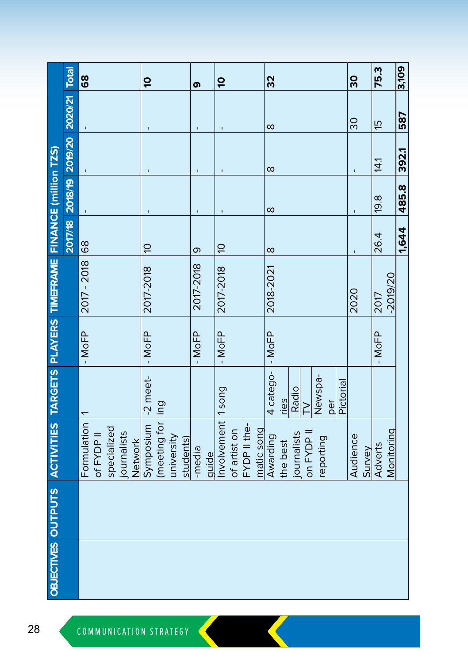|                                                                               | <b>Total</b>                    | 89          |            |             |             |         | ó              |                   |            |           | თ         |       | ó              |              |              |            | 32        |          |             |            |           |     |           | 30       |        | 75.3    |            |
|-------------------------------------------------------------------------------|---------------------------------|-------------|------------|-------------|-------------|---------|----------------|-------------------|------------|-----------|-----------|-------|----------------|--------------|--------------|------------|-----------|----------|-------------|------------|-----------|-----|-----------|----------|--------|---------|------------|
|                                                                               |                                 |             |            |             |             |         |                |                   |            |           |           |       |                |              |              |            | $\infty$  |          |             |            |           |     |           | 30       |        | fo      |            |
|                                                                               |                                 |             |            |             |             |         |                |                   |            |           |           |       |                |              |              |            | $\infty$  |          |             |            |           |     |           |          |        | 14.1    |            |
|                                                                               | 2017/18 2018/19 2019/20 2020/21 |             |            |             |             |         |                |                   |            |           | ï         |       |                |              |              |            | $\infty$  |          |             |            |           |     |           | ı        |        | 19.8    |            |
|                                                                               |                                 | 68          |            |             |             |         | $\overline{a}$ |                   |            |           | თ         |       | $\overline{a}$ |              |              |            | $\infty$  |          |             |            |           |     |           |          |        | 26.4    |            |
|                                                                               |                                 | 2017 - 2018 |            |             |             |         | 2017-2018      |                   |            |           | 2017-2018 |       | 2017-2018      |              |              |            | 2018-2021 |          |             |            |           |     |           | 2020     |        | 2017    | $-2019/20$ |
|                                                                               |                                 | $-MoFP$     |            |             |             |         | $-MoFP$        |                   |            |           | $-MoFP$   |       | $-MoFP$        |              |              |            | $-$ MoFP  |          |             |            |           |     |           |          |        | $-MoFP$ |            |
|                                                                               |                                 |             |            |             |             |         | $-2$ meet-     |                   |            |           |           |       | 1song          |              |              |            | 4 catego- | ries     | Radio       | ≥          | Newspa-   | per | Pictorial |          |        |         |            |
| OBJECTIVES OUTPUTS ACTIVITIES TARGETS PLAYERS TIMEFRAME FINANCE (million TZS) |                                 | Formulation | of FYDP II | specialized | journalists | Network | Symposium      | (meeting for ling | university | students) | -media    | quide | Involvement    | of artist on | FYDP II the- | matic song | Awarding  | the best | journalists | on FYDP II | reporting |     |           | Audience | Survey | Adverts | Monitoring |
|                                                                               |                                 |             |            |             |             |         |                |                   |            |           |           |       |                |              |              |            |           |          |             |            |           |     |           |          |        |         |            |
|                                                                               |                                 |             |            |             |             |         |                |                   |            |           |           |       |                |              |              |            |           |          |             |            |           |     |           |          |        |         |            |